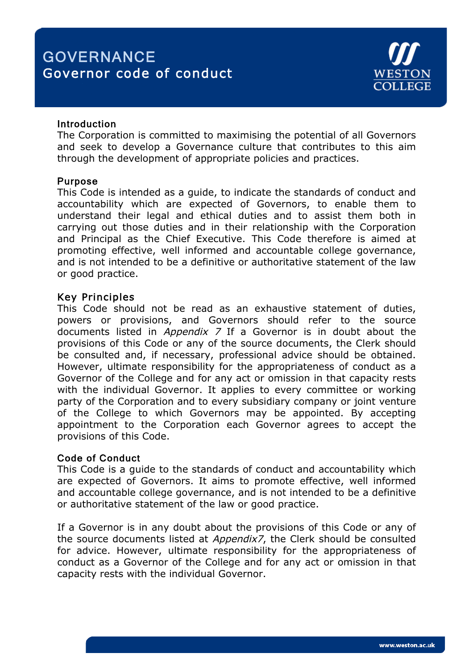# **GOVERNANCE** Governor code of conduct



#### **Introduction**

The Corporation is committed to maximising the potential of all Governors and seek to develop a Governance culture that contributes to this aim through the development of appropriate policies and practices.

#### Purpose

This Code is intended as a guide, to indicate the standards of conduct and accountability which are expected of Governors, to enable them to understand their legal and ethical duties and to assist them both in carrying out those duties and in their relationship with the Corporation and Principal as the Chief Executive. This Code therefore is aimed at promoting effective, well informed and accountable college governance, and is not intended to be a definitive or authoritative statement of the law or good practice.

## Key Principles

This Code should not be read as an exhaustive statement of duties, powers or provisions, and Governors should refer to the source documents listed in *Appendix 7* If a Governor is in doubt about the provisions of this Code or any of the source documents, the Clerk should be consulted and, if necessary, professional advice should be obtained. However, ultimate responsibility for the appropriateness of conduct as a Governor of the College and for any act or omission in that capacity rests with the individual Governor. It applies to every committee or working party of the Corporation and to every subsidiary company or joint venture of the College to which Governors may be appointed. By accepting appointment to the Corporation each Governor agrees to accept the provisions of this Code.

## Code of Conduct

This Code is a guide to the standards of conduct and accountability which are expected of Governors. It aims to promote effective, well informed and accountable college governance, and is not intended to be a definitive or authoritative statement of the law or good practice.

If a Governor is in any doubt about the provisions of this Code or any of the source documents listed at Appendix7, the Clerk should be consulted for advice. However, ultimate responsibility for the appropriateness of conduct as a Governor of the College and for any act or omission in that capacity rests with the individual Governor.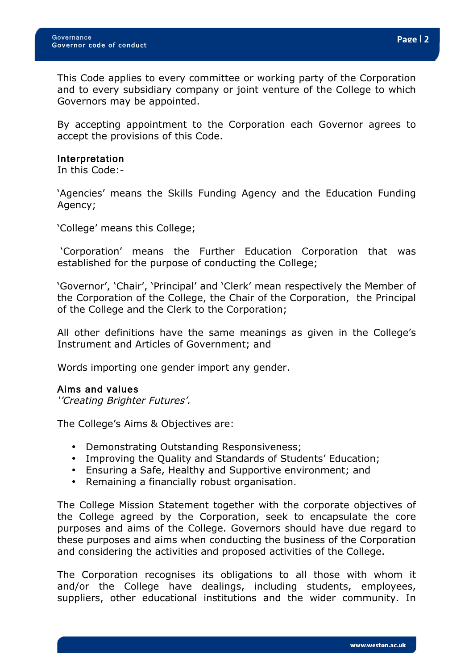This Code applies to every committee or working party of the Corporation and to every subsidiary company or joint venture of the College to which Governors may be appointed.

By accepting appointment to the Corporation each Governor agrees to accept the provisions of this Code.

#### Interpretation

In this Code:-

'Agencies' means the Skills Funding Agency and the Education Funding Agency;

'College' means this College;

'Corporation' means the Further Education Corporation that was established for the purpose of conducting the College;

'Governor', 'Chair', 'Principal' and 'Clerk' mean respectively the Member of the Corporation of the College, the Chair of the Corporation, the Principal of the College and the Clerk to the Corporation;

All other definitions have the same meanings as given in the College's Instrument and Articles of Government; and

Words importing one gender import any gender.

#### Aims and values

''Creating Brighter Futures'.

The College's Aims & Objectives are:

- Demonstrating Outstanding Responsiveness;
- Improving the Quality and Standards of Students' Education;
- Ensuring a Safe, Healthy and Supportive environment; and
- Remaining a financially robust organisation.

The College Mission Statement together with the corporate objectives of the College agreed by the Corporation, seek to encapsulate the core purposes and aims of the College. Governors should have due regard to these purposes and aims when conducting the business of the Corporation and considering the activities and proposed activities of the College.

The Corporation recognises its obligations to all those with whom it and/or the College have dealings, including students, employees, suppliers, other educational institutions and the wider community. In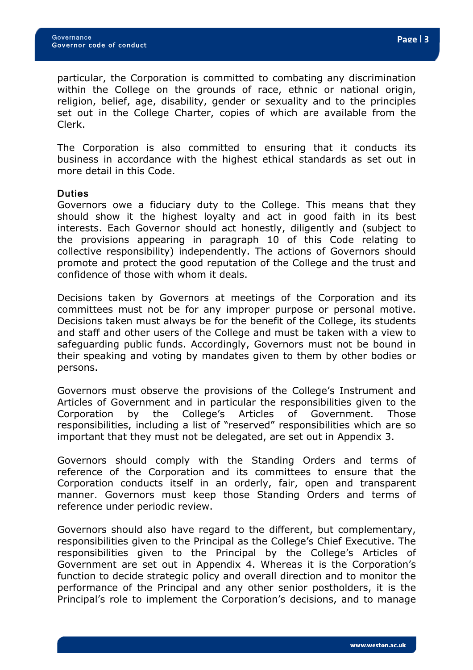particular, the Corporation is committed to combating any discrimination within the College on the grounds of race, ethnic or national origin, religion, belief, age, disability, gender or sexuality and to the principles set out in the College Charter, copies of which are available from the Clerk.

The Corporation is also committed to ensuring that it conducts its business in accordance with the highest ethical standards as set out in more detail in this Code.

#### Duties

Governors owe a fiduciary duty to the College. This means that they should show it the highest loyalty and act in good faith in its best interests. Each Governor should act honestly, diligently and (subject to the provisions appearing in paragraph 10 of this Code relating to collective responsibility) independently. The actions of Governors should promote and protect the good reputation of the College and the trust and confidence of those with whom it deals.

Decisions taken by Governors at meetings of the Corporation and its committees must not be for any improper purpose or personal motive. Decisions taken must always be for the benefit of the College, its students and staff and other users of the College and must be taken with a view to safeguarding public funds. Accordingly, Governors must not be bound in their speaking and voting by mandates given to them by other bodies or persons.

Governors must observe the provisions of the College's Instrument and Articles of Government and in particular the responsibilities given to the Corporation by the College's Articles of Government. Those responsibilities, including a list of "reserved" responsibilities which are so important that they must not be delegated, are set out in Appendix 3.

Governors should comply with the Standing Orders and terms of reference of the Corporation and its committees to ensure that the Corporation conducts itself in an orderly, fair, open and transparent manner. Governors must keep those Standing Orders and terms of reference under periodic review.

Governors should also have regard to the different, but complementary, responsibilities given to the Principal as the College's Chief Executive. The responsibilities given to the Principal by the College's Articles of Government are set out in Appendix 4. Whereas it is the Corporation's function to decide strategic policy and overall direction and to monitor the performance of the Principal and any other senior postholders, it is the Principal's role to implement the Corporation's decisions, and to manage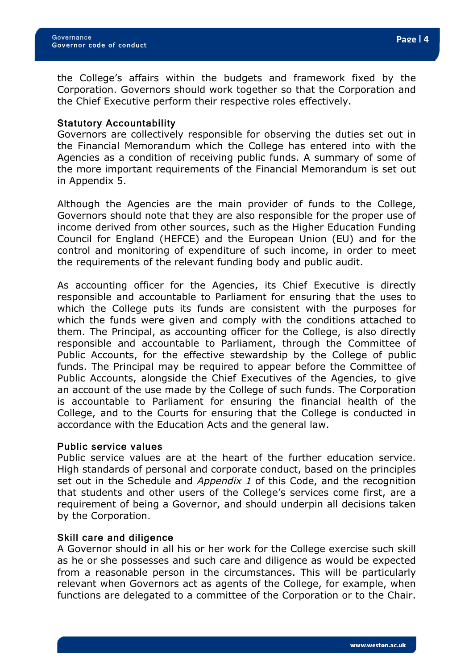the College's affairs within the budgets and framework fixed by the Corporation. Governors should work together so that the Corporation and the Chief Executive perform their respective roles effectively.

#### Statutory Accountability

Governors are collectively responsible for observing the duties set out in the Financial Memorandum which the College has entered into with the Agencies as a condition of receiving public funds. A summary of some of the more important requirements of the Financial Memorandum is set out in Appendix 5.

Although the Agencies are the main provider of funds to the College, Governors should note that they are also responsible for the proper use of income derived from other sources, such as the Higher Education Funding Council for England (HEFCE) and the European Union (EU) and for the control and monitoring of expenditure of such income, in order to meet the requirements of the relevant funding body and public audit.

As accounting officer for the Agencies, its Chief Executive is directly responsible and accountable to Parliament for ensuring that the uses to which the College puts its funds are consistent with the purposes for which the funds were given and comply with the conditions attached to them. The Principal, as accounting officer for the College, is also directly responsible and accountable to Parliament, through the Committee of Public Accounts, for the effective stewardship by the College of public funds. The Principal may be required to appear before the Committee of Public Accounts, alongside the Chief Executives of the Agencies, to give an account of the use made by the College of such funds. The Corporation is accountable to Parliament for ensuring the financial health of the College, and to the Courts for ensuring that the College is conducted in accordance with the Education Acts and the general law.

#### Public service values

Public service values are at the heart of the further education service. High standards of personal and corporate conduct, based on the principles set out in the Schedule and Appendix 1 of this Code, and the recognition that students and other users of the College's services come first, are a requirement of being a Governor, and should underpin all decisions taken by the Corporation.

#### Skill care and diligence

A Governor should in all his or her work for the College exercise such skill as he or she possesses and such care and diligence as would be expected from a reasonable person in the circumstances. This will be particularly relevant when Governors act as agents of the College, for example, when functions are delegated to a committee of the Corporation or to the Chair.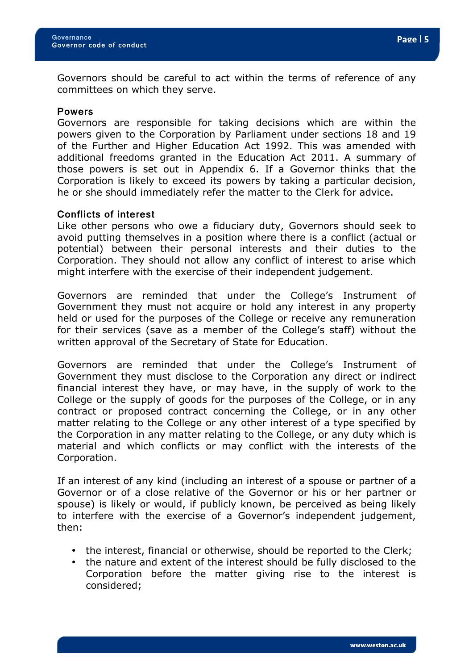Governors should be careful to act within the terms of reference of any committees on which they serve.

#### Powers

Governors are responsible for taking decisions which are within the powers given to the Corporation by Parliament under sections 18 and 19 of the Further and Higher Education Act 1992. This was amended with additional freedoms granted in the Education Act 2011. A summary of those powers is set out in Appendix 6. If a Governor thinks that the Corporation is likely to exceed its powers by taking a particular decision, he or she should immediately refer the matter to the Clerk for advice.

#### Conflicts of interest

Like other persons who owe a fiduciary duty, Governors should seek to avoid putting themselves in a position where there is a conflict (actual or potential) between their personal interests and their duties to the Corporation. They should not allow any conflict of interest to arise which might interfere with the exercise of their independent judgement.

Governors are reminded that under the College's Instrument of Government they must not acquire or hold any interest in any property held or used for the purposes of the College or receive any remuneration for their services (save as a member of the College's staff) without the written approval of the Secretary of State for Education.

Governors are reminded that under the College's Instrument of Government they must disclose to the Corporation any direct or indirect financial interest they have, or may have, in the supply of work to the College or the supply of goods for the purposes of the College, or in any contract or proposed contract concerning the College, or in any other matter relating to the College or any other interest of a type specified by the Corporation in any matter relating to the College, or any duty which is material and which conflicts or may conflict with the interests of the Corporation.

If an interest of any kind (including an interest of a spouse or partner of a Governor or of a close relative of the Governor or his or her partner or spouse) is likely or would, if publicly known, be perceived as being likely to interfere with the exercise of a Governor's independent judgement, then:

- the interest, financial or otherwise, should be reported to the Clerk;
- the nature and extent of the interest should be fully disclosed to the Corporation before the matter giving rise to the interest is considered;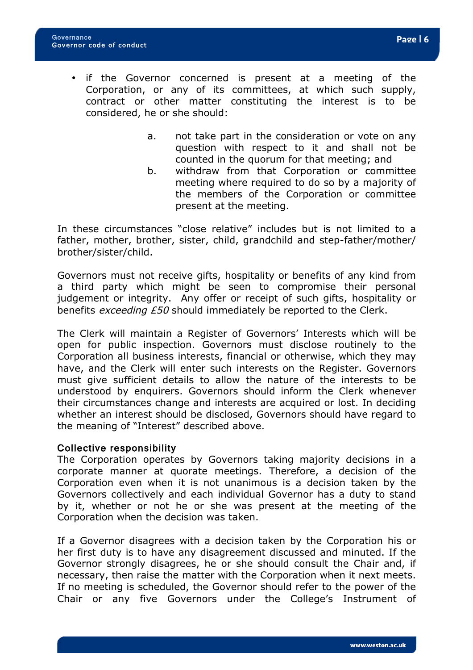- if the Governor concerned is present at a meeting of the Corporation, or any of its committees, at which such supply, contract or other matter constituting the interest is to be considered, he or she should:
	- a. not take part in the consideration or vote on any question with respect to it and shall not be counted in the quorum for that meeting; and
	- b. withdraw from that Corporation or committee meeting where required to do so by a majority of the members of the Corporation or committee present at the meeting.

In these circumstances "close relative" includes but is not limited to a father, mother, brother, sister, child, grandchild and step-father/mother/ brother/sister/child.

Governors must not receive gifts, hospitality or benefits of any kind from a third party which might be seen to compromise their personal judgement or integrity. Any offer or receipt of such gifts, hospitality or benefits exceeding £50 should immediately be reported to the Clerk.

The Clerk will maintain a Register of Governors' Interests which will be open for public inspection. Governors must disclose routinely to the Corporation all business interests, financial or otherwise, which they may have, and the Clerk will enter such interests on the Register. Governors must give sufficient details to allow the nature of the interests to be understood by enquirers. Governors should inform the Clerk whenever their circumstances change and interests are acquired or lost. In deciding whether an interest should be disclosed, Governors should have regard to the meaning of "Interest" described above.

## Collective responsibility

The Corporation operates by Governors taking majority decisions in a corporate manner at quorate meetings. Therefore, a decision of the Corporation even when it is not unanimous is a decision taken by the Governors collectively and each individual Governor has a duty to stand by it, whether or not he or she was present at the meeting of the Corporation when the decision was taken.

If a Governor disagrees with a decision taken by the Corporation his or her first duty is to have any disagreement discussed and minuted. If the Governor strongly disagrees, he or she should consult the Chair and, if necessary, then raise the matter with the Corporation when it next meets. If no meeting is scheduled, the Governor should refer to the power of the Chair or any five Governors under the College's Instrument of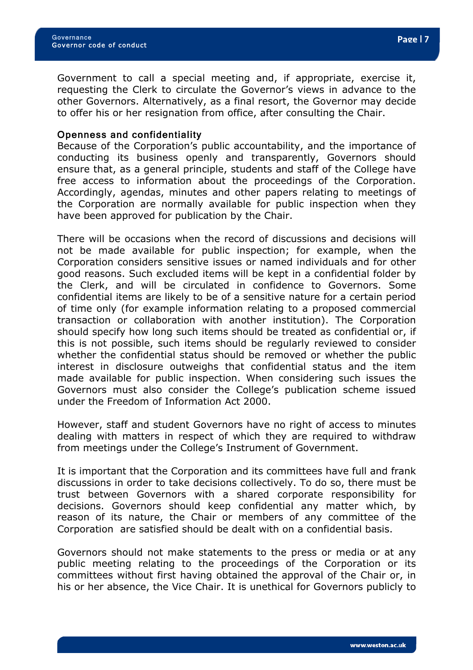Government to call a special meeting and, if appropriate, exercise it, requesting the Clerk to circulate the Governor's views in advance to the other Governors. Alternatively, as a final resort, the Governor may decide to offer his or her resignation from office, after consulting the Chair.

#### Openness and confidentiality

Because of the Corporation's public accountability, and the importance of conducting its business openly and transparently, Governors should ensure that, as a general principle, students and staff of the College have free access to information about the proceedings of the Corporation. Accordingly, agendas, minutes and other papers relating to meetings of the Corporation are normally available for public inspection when they have been approved for publication by the Chair.

There will be occasions when the record of discussions and decisions will not be made available for public inspection; for example, when the Corporation considers sensitive issues or named individuals and for other good reasons. Such excluded items will be kept in a confidential folder by the Clerk, and will be circulated in confidence to Governors. Some confidential items are likely to be of a sensitive nature for a certain period of time only (for example information relating to a proposed commercial transaction or collaboration with another institution). The Corporation should specify how long such items should be treated as confidential or, if this is not possible, such items should be regularly reviewed to consider whether the confidential status should be removed or whether the public interest in disclosure outweighs that confidential status and the item made available for public inspection. When considering such issues the Governors must also consider the College's publication scheme issued under the Freedom of Information Act 2000.

However, staff and student Governors have no right of access to minutes dealing with matters in respect of which they are required to withdraw from meetings under the College's Instrument of Government.

It is important that the Corporation and its committees have full and frank discussions in order to take decisions collectively. To do so, there must be trust between Governors with a shared corporate responsibility for decisions. Governors should keep confidential any matter which, by reason of its nature, the Chair or members of any committee of the Corporation are satisfied should be dealt with on a confidential basis.

Governors should not make statements to the press or media or at any public meeting relating to the proceedings of the Corporation or its committees without first having obtained the approval of the Chair or, in his or her absence, the Vice Chair. It is unethical for Governors publicly to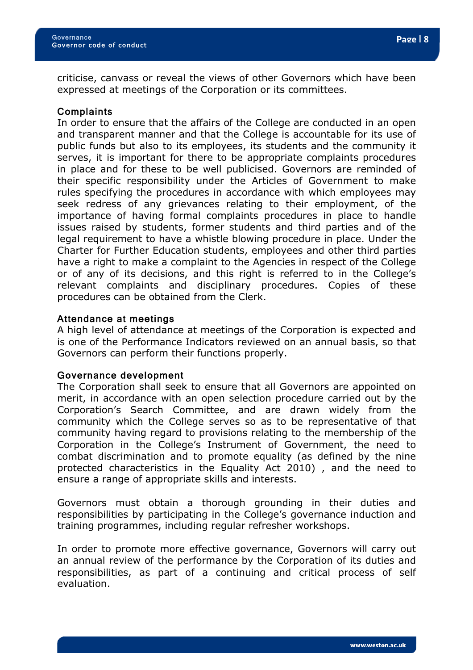criticise, canvass or reveal the views of other Governors which have been expressed at meetings of the Corporation or its committees.

#### **Complaints**

In order to ensure that the affairs of the College are conducted in an open and transparent manner and that the College is accountable for its use of public funds but also to its employees, its students and the community it serves, it is important for there to be appropriate complaints procedures in place and for these to be well publicised. Governors are reminded of their specific responsibility under the Articles of Government to make rules specifying the procedures in accordance with which employees may seek redress of any grievances relating to their employment, of the importance of having formal complaints procedures in place to handle issues raised by students, former students and third parties and of the legal requirement to have a whistle blowing procedure in place. Under the Charter for Further Education students, employees and other third parties have a right to make a complaint to the Agencies in respect of the College or of any of its decisions, and this right is referred to in the College's relevant complaints and disciplinary procedures. Copies of these procedures can be obtained from the Clerk.

#### Attendance at meetings

A high level of attendance at meetings of the Corporation is expected and is one of the Performance Indicators reviewed on an annual basis, so that Governors can perform their functions properly.

#### Governance development

The Corporation shall seek to ensure that all Governors are appointed on merit, in accordance with an open selection procedure carried out by the Corporation's Search Committee, and are drawn widely from the community which the College serves so as to be representative of that community having regard to provisions relating to the membership of the Corporation in the College's Instrument of Government, the need to combat discrimination and to promote equality (as defined by the nine protected characteristics in the Equality Act 2010) , and the need to ensure a range of appropriate skills and interests.

Governors must obtain a thorough grounding in their duties and responsibilities by participating in the College's governance induction and training programmes, including regular refresher workshops.

In order to promote more effective governance, Governors will carry out an annual review of the performance by the Corporation of its duties and responsibilities, as part of a continuing and critical process of self evaluation.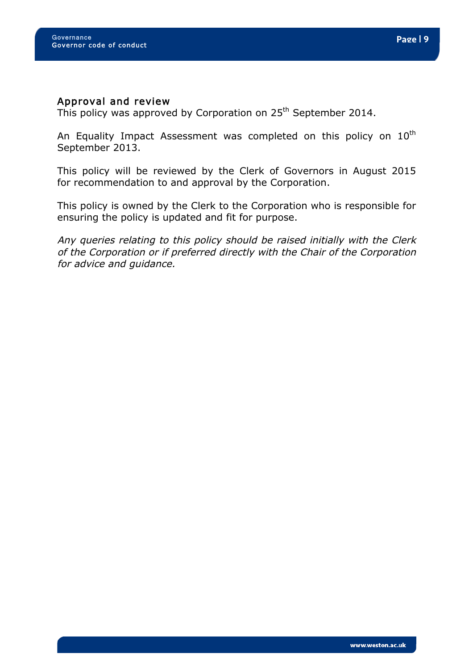#### Approval and review

This policy was approved by Corporation on 25<sup>th</sup> September 2014.

An Equality Impact Assessment was completed on this policy on  $10^{\text{th}}$ September 2013.

This policy will be reviewed by the Clerk of Governors in August 2015 for recommendation to and approval by the Corporation.

This policy is owned by the Clerk to the Corporation who is responsible for ensuring the policy is updated and fit for purpose.

Any queries relating to this policy should be raised initially with the Clerk of the Corporation or if preferred directly with the Chair of the Corporation for advice and guidance.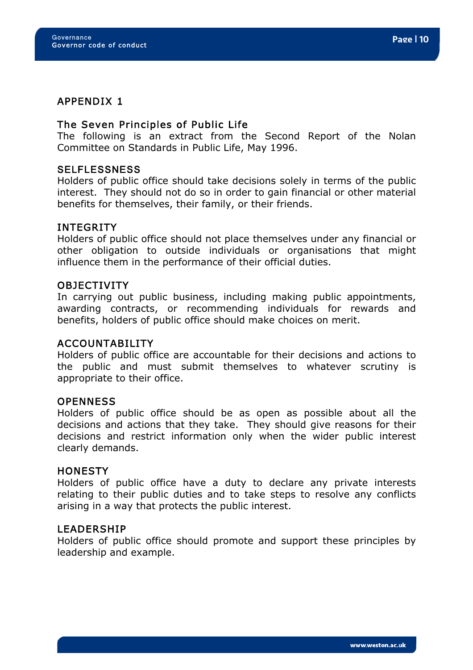# APPENDIX 1

# The Seven Principles of Public Life

The following is an extract from the Second Report of the Nolan Committee on Standards in Public Life, May 1996.

#### **SELFLESSNESS**

Holders of public office should take decisions solely in terms of the public interest. They should not do so in order to gain financial or other material benefits for themselves, their family, or their friends.

#### INTEGRITY

Holders of public office should not place themselves under any financial or other obligation to outside individuals or organisations that might influence them in the performance of their official duties.

#### OBJECTIVITY

In carrying out public business, including making public appointments, awarding contracts, or recommending individuals for rewards and benefits, holders of public office should make choices on merit.

# ACCOUNTABILITY

Holders of public office are accountable for their decisions and actions to the public and must submit themselves to whatever scrutiny is appropriate to their office.

#### **OPENNESS**

Holders of public office should be as open as possible about all the decisions and actions that they take. They should give reasons for their decisions and restrict information only when the wider public interest clearly demands.

## **HONESTY**

Holders of public office have a duty to declare any private interests relating to their public duties and to take steps to resolve any conflicts arising in a way that protects the public interest.

#### **LEADERSHIP**

Holders of public office should promote and support these principles by leadership and example.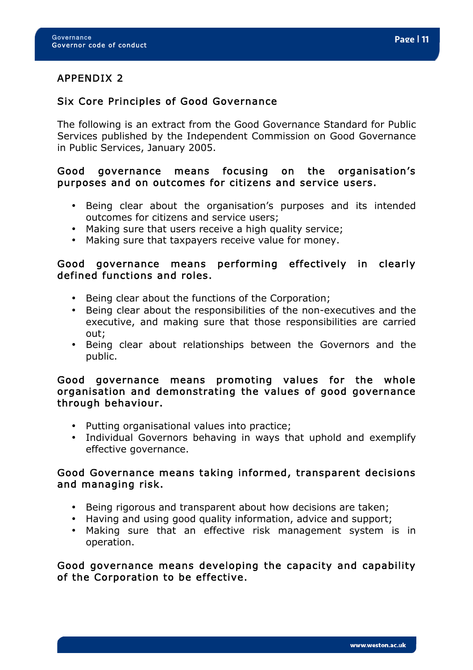# Six Core Principles of Good Governance

The following is an extract from the Good Governance Standard for Public Services published by the Independent Commission on Good Governance in Public Services, January 2005.

# Good governance means focusing on the organisation's purposes and on outcomes for citizens and service users.

- Being clear about the organisation's purposes and its intended outcomes for citizens and service users;
- Making sure that users receive a high quality service;
- Making sure that taxpayers receive value for money.

# Good governance means performing effectively in clearly defined functions and roles.

- Being clear about the functions of the Corporation;
- Being clear about the responsibilities of the non-executives and the executive, and making sure that those responsibilities are carried out;
- Being clear about relationships between the Governors and the public.

# Good governance means promoting values for the whole organisation and demonstrating the values of good governance through behaviour.

- Putting organisational values into practice;
- Individual Governors behaving in ways that uphold and exemplify effective governance.

# Good Governance means taking informed, transparent decisions and managing risk.

- Being rigorous and transparent about how decisions are taken;
- Having and using good quality information, advice and support;
- Making sure that an effective risk management system is in operation.

Good governance means developing the capacity and capability of the Corporation to be effective.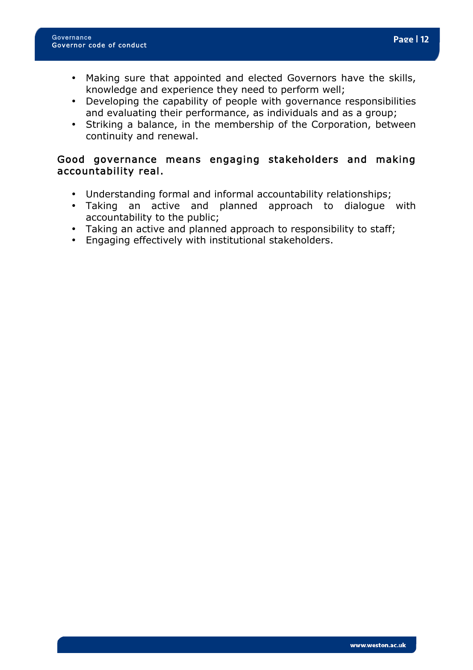- Making sure that appointed and elected Governors have the skills, knowledge and experience they need to perform well;
- Developing the capability of people with governance responsibilities and evaluating their performance, as individuals and as a group;
- Striking a balance, in the membership of the Corporation, between continuity and renewal.

# Good governance means engaging stakeholders and making accountability real.

- Understanding formal and informal accountability relationships;
- Taking an active and planned approach to dialogue with accountability to the public;
- Taking an active and planned approach to responsibility to staff;
- Engaging effectively with institutional stakeholders.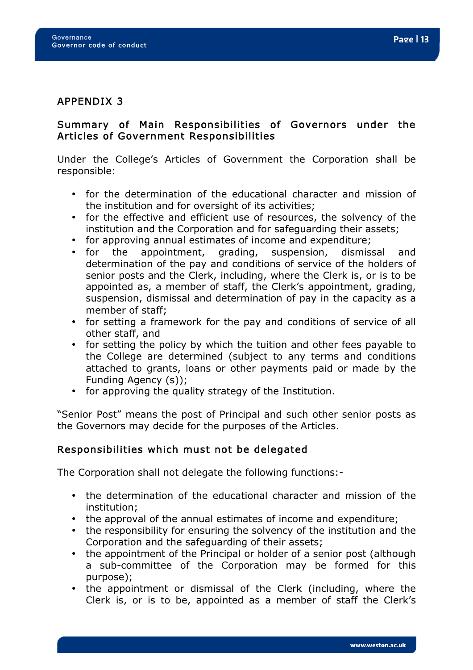# APPENDIX 3

# Summary of Main Responsibilities of Governors under the Articles of Government Responsibilities

Under the College's Articles of Government the Corporation shall be responsible:

- for the determination of the educational character and mission of the institution and for oversight of its activities;
- for the effective and efficient use of resources, the solvency of the institution and the Corporation and for safeguarding their assets;
- for approving annual estimates of income and expenditure;
- for the appointment, grading, suspension, dismissal and determination of the pay and conditions of service of the holders of senior posts and the Clerk, including, where the Clerk is, or is to be appointed as, a member of staff, the Clerk's appointment, grading, suspension, dismissal and determination of pay in the capacity as a member of staff;
- for setting a framework for the pay and conditions of service of all other staff, and
- for setting the policy by which the tuition and other fees payable to the College are determined (subject to any terms and conditions attached to grants, loans or other payments paid or made by the Funding Agency (s));
- for approving the quality strategy of the Institution.

"Senior Post" means the post of Principal and such other senior posts as the Governors may decide for the purposes of the Articles.

# Responsibilities which must not be delegated

The Corporation shall not delegate the following functions:-

- the determination of the educational character and mission of the institution;
- the approval of the annual estimates of income and expenditure;
- the responsibility for ensuring the solvency of the institution and the Corporation and the safeguarding of their assets;
- the appointment of the Principal or holder of a senior post (although a sub-committee of the Corporation may be formed for this purpose);
- the appointment or dismissal of the Clerk (including, where the Clerk is, or is to be, appointed as a member of staff the Clerk's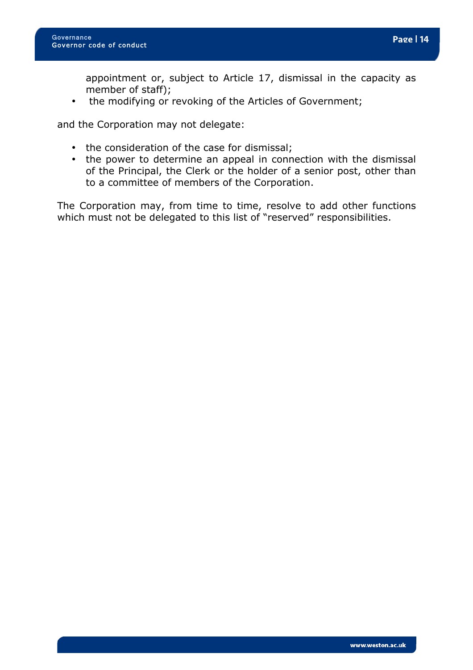appointment or, subject to Article 17, dismissal in the capacity as member of staff);

• the modifying or revoking of the Articles of Government;

and the Corporation may not delegate:

- the consideration of the case for dismissal;
- the power to determine an appeal in connection with the dismissal of the Principal, the Clerk or the holder of a senior post, other than to a committee of members of the Corporation.

The Corporation may, from time to time, resolve to add other functions which must not be delegated to this list of "reserved" responsibilities.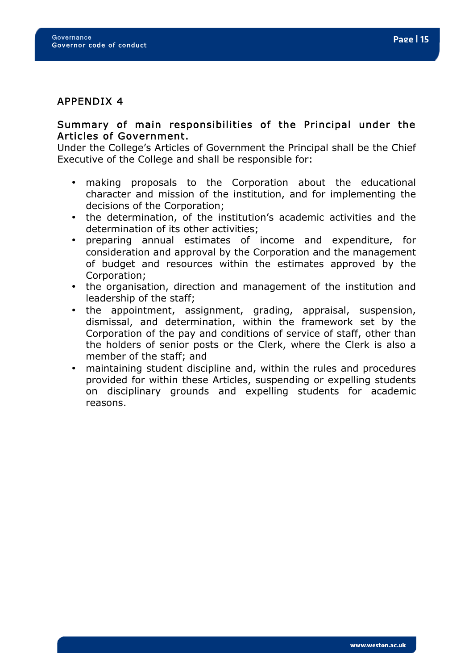# Summary of main responsibilities of the Principal under the Articles of Government.

Under the College's Articles of Government the Principal shall be the Chief Executive of the College and shall be responsible for:

- making proposals to the Corporation about the educational character and mission of the institution, and for implementing the decisions of the Corporation;
- the determination, of the institution's academic activities and the determination of its other activities;
- preparing annual estimates of income and expenditure, for consideration and approval by the Corporation and the management of budget and resources within the estimates approved by the Corporation;
- the organisation, direction and management of the institution and leadership of the staff;
- the appointment, assignment, grading, appraisal, suspension, dismissal, and determination, within the framework set by the Corporation of the pay and conditions of service of staff, other than the holders of senior posts or the Clerk, where the Clerk is also a member of the staff; and
- maintaining student discipline and, within the rules and procedures provided for within these Articles, suspending or expelling students on disciplinary grounds and expelling students for academic reasons.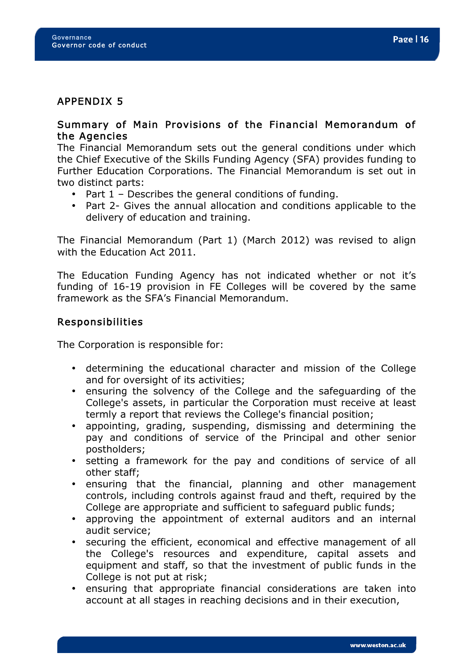# APPENDIX 5

# Summary of Main Provisions of the Financial Memorandum of the Agencies

The Financial Memorandum sets out the general conditions under which the Chief Executive of the Skills Funding Agency (SFA) provides funding to Further Education Corporations. The Financial Memorandum is set out in two distinct parts:

- Part 1 Describes the general conditions of funding.
- Part 2- Gives the annual allocation and conditions applicable to the delivery of education and training.

The Financial Memorandum (Part 1) (March 2012) was revised to align with the Education Act 2011.

The Education Funding Agency has not indicated whether or not it's funding of 16-19 provision in FE Colleges will be covered by the same framework as the SFA's Financial Memorandum.

# Responsibilities

The Corporation is responsible for:

- determining the educational character and mission of the College and for oversight of its activities;
- ensuring the solvency of the College and the safeguarding of the College's assets, in particular the Corporation must receive at least termly a report that reviews the College's financial position;
- appointing, grading, suspending, dismissing and determining the pay and conditions of service of the Principal and other senior postholders;
- setting a framework for the pay and conditions of service of all other staff;
- ensuring that the financial, planning and other management controls, including controls against fraud and theft, required by the College are appropriate and sufficient to safeguard public funds;
- approving the appointment of external auditors and an internal audit service;
- securing the efficient, economical and effective management of all the College's resources and expenditure, capital assets and equipment and staff, so that the investment of public funds in the College is not put at risk;
- ensuring that appropriate financial considerations are taken into account at all stages in reaching decisions and in their execution,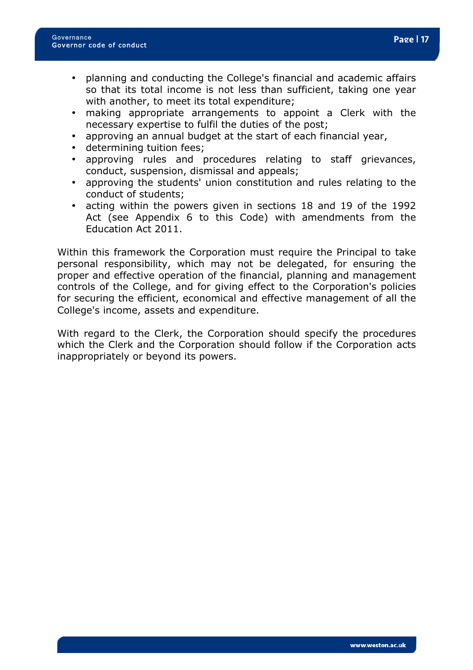- planning and conducting the College's financial and academic affairs so that its total income is not less than sufficient, taking one year with another, to meet its total expenditure;
- making appropriate arrangements to appoint a Clerk with the necessary expertise to fulfil the duties of the post;
- approving an annual budget at the start of each financial year,
- determining tuition fees;
- approving rules and procedures relating to staff grievances, conduct, suspension, dismissal and appeals;
- approving the students' union constitution and rules relating to the conduct of students;
- acting within the powers given in sections 18 and 19 of the 1992 Act (see Appendix 6 to this Code) with amendments from the Education Act 2011.

Within this framework the Corporation must require the Principal to take personal responsibility, which may not be delegated, for ensuring the proper and effective operation of the financial, planning and management controls of the College, and for giving effect to the Corporation's policies for securing the efficient, economical and effective management of all the College's income, assets and expenditure.

With regard to the Clerk, the Corporation should specify the procedures which the Clerk and the Corporation should follow if the Corporation acts inappropriately or beyond its powers.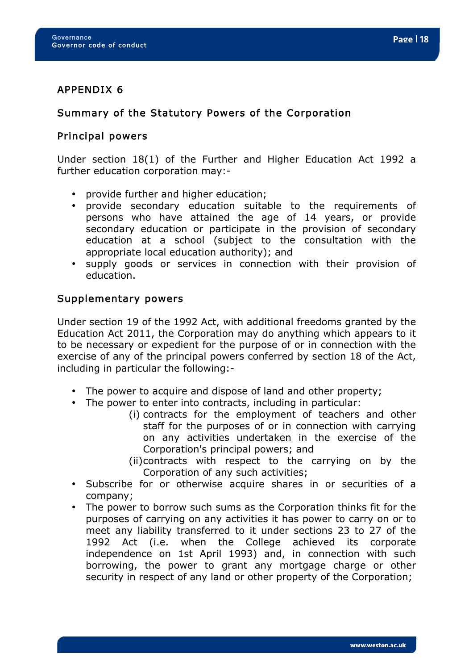# APPENDIX 6

## Summary of the Statutory Powers of the Corporation

# Principal powers

Under section 18(1) of the Further and Higher Education Act 1992 a further education corporation may:-

- provide further and higher education;
- provide secondary education suitable to the requirements of persons who have attained the age of 14 years, or provide secondary education or participate in the provision of secondary education at a school (subject to the consultation with the appropriate local education authority); and
- supply goods or services in connection with their provision of education.

#### Supplementary powers

Under section 19 of the 1992 Act, with additional freedoms granted by the Education Act 2011, the Corporation may do anything which appears to it to be necessary or expedient for the purpose of or in connection with the exercise of any of the principal powers conferred by section 18 of the Act, including in particular the following:-

- The power to acquire and dispose of land and other property;
- The power to enter into contracts, including in particular:
	- (i) contracts for the employment of teachers and other staff for the purposes of or in connection with carrying on any activities undertaken in the exercise of the Corporation's principal powers; and
	- (ii)contracts with respect to the carrying on by the Corporation of any such activities;
- Subscribe for or otherwise acquire shares in or securities of a company;
- The power to borrow such sums as the Corporation thinks fit for the purposes of carrying on any activities it has power to carry on or to meet any liability transferred to it under sections 23 to 27 of the 1992 Act (i.e. when the College achieved its corporate independence on 1st April 1993) and, in connection with such borrowing, the power to grant any mortgage charge or other security in respect of any land or other property of the Corporation;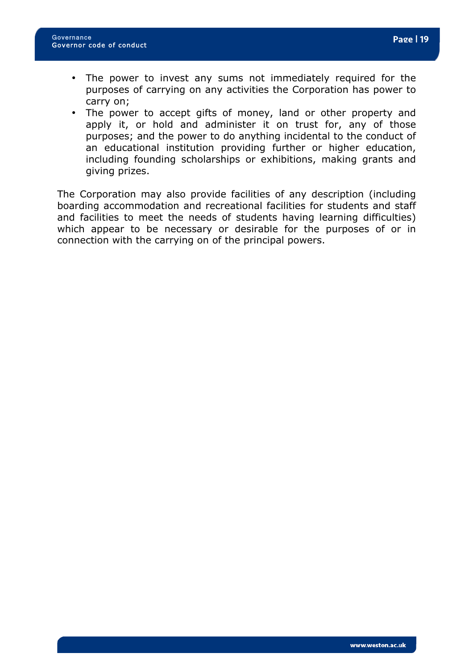- The power to invest any sums not immediately required for the purposes of carrying on any activities the Corporation has power to carry on;
- The power to accept gifts of money, land or other property and apply it, or hold and administer it on trust for, any of those purposes; and the power to do anything incidental to the conduct of an educational institution providing further or higher education, including founding scholarships or exhibitions, making grants and giving prizes.

The Corporation may also provide facilities of any description (including boarding accommodation and recreational facilities for students and staff and facilities to meet the needs of students having learning difficulties) which appear to be necessary or desirable for the purposes of or in connection with the carrying on of the principal powers.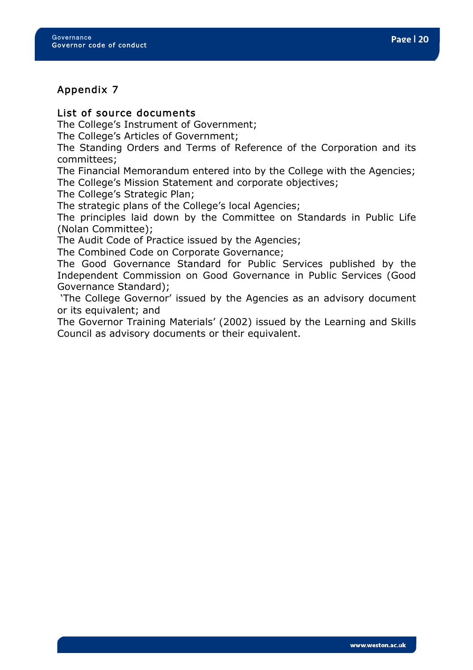# Appendix 7

# List of source documents

The College's Instrument of Government;

The College's Articles of Government;

The Standing Orders and Terms of Reference of the Corporation and its committees;

The Financial Memorandum entered into by the College with the Agencies; The College's Mission Statement and corporate objectives;

The College's Strategic Plan;

The strategic plans of the College's local Agencies;

The principles laid down by the Committee on Standards in Public Life (Nolan Committee);

The Audit Code of Practice issued by the Agencies;

The Combined Code on Corporate Governance;

The Good Governance Standard for Public Services published by the Independent Commission on Good Governance in Public Services (Good Governance Standard);

'The College Governor' issued by the Agencies as an advisory document or its equivalent; and

The Governor Training Materials' (2002) issued by the Learning and Skills Council as advisory documents or their equivalent.